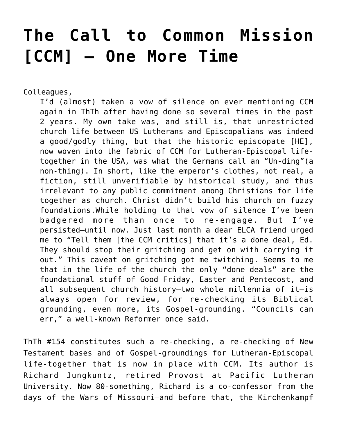## **[The Call to Common Mission](https://crossings.org/the-call-to-common-mission-ccm-one-more-time/) [\[CCM\] – One More Time](https://crossings.org/the-call-to-common-mission-ccm-one-more-time/)**

Colleagues,

I'd (almost) taken a vow of silence on ever mentioning CCM again in ThTh after having done so several times in the past 2 years. My own take was, and still is, that unrestricted church-life between US Lutherans and Episcopalians was indeed a good/godly thing, but that the historic episcopate [HE], now woven into the fabric of CCM for Lutheran-Episcopal lifetogether in the USA, was what the Germans call an "Un-ding"(a non-thing). In short, like the emperor's clothes, not real, a fiction, still unverifiable by historical study, and thus irrelevant to any public commitment among Christians for life together as church. Christ didn't build his church on fuzzy foundations.While holding to that vow of silence I've been badgered more than once to re-engage. But I've persisted–until now. Just last month a dear ELCA friend urged me to "Tell them [the CCM critics] that it's a done deal, Ed. They should stop their gritching and get on with carrying it out." This caveat on gritching got me twitching. Seems to me that in the life of the church the only "done deals" are the foundational stuff of Good Friday, Easter and Pentecost, and all subsequent church history–two whole millennia of it–is always open for review, for re-checking its Biblical grounding, even more, its Gospel-grounding. "Councils can err," a well-known Reformer once said.

ThTh #154 constitutes such a re-checking, a re-checking of New Testament bases and of Gospel-groundings for Lutheran-Episcopal life-together that is now in place with CCM. Its author is Richard Jungkuntz, retired Provost at Pacific Lutheran University. Now 80-something, Richard is a co-confessor from the days of the Wars of Missouri–and before that, the Kirchenkampf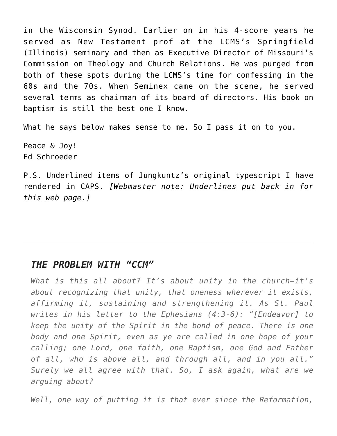in the Wisconsin Synod. Earlier on in his 4-score years he served as New Testament prof at the LCMS's Springfield (Illinois) seminary and then as Executive Director of Missouri's Commission on Theology and Church Relations. He was purged from both of these spots during the LCMS's time for confessing in the 60s and the 70s. When Seminex came on the scene, he served several terms as chairman of its board of directors. His book on baptism is still the best one I know.

What he says below makes sense to me. So I pass it on to you.

Peace & Joy! Ed Schroeder

P.S. Underlined items of Jungkuntz's original typescript I have rendered in CAPS. *[Webmaster note: Underlines put back in for this web page.]*

## *THE PROBLEM WITH "CCM"*

*What is this all about? It's about unity in the church–it's about recognizing that unity, that oneness wherever it exists, affirming it, sustaining and strengthening it. As St. Paul writes in his letter to the Ephesians (4:3-6): "[Endeavor] to keep the unity of the Spirit in the bond of peace. There is one body and one Spirit, even as ye are called in one hope of your calling; one Lord, one faith, one Baptism, one God and Father of all, who is above all, and through all, and in you all." Surely we all agree with that. So, I ask again, what are we arguing about?*

*Well, one way of putting it is that ever since the Reformation,*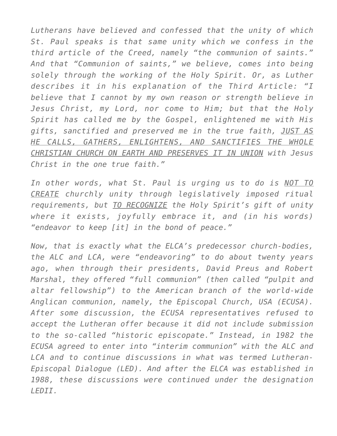*Lutherans have believed and confessed that the unity of which St. Paul speaks is that same unity which we confess in the third article of the Creed, namely "the communion of saints." And that "Communion of saints," we believe, comes into being solely through the working of the Holy Spirit. Or, as Luther describes it in his explanation of the Third Article: "I believe that I cannot by my own reason or strength believe in Jesus Christ, my Lord, nor come to Him; but that the Holy Spirit has called me by the Gospel, enlightened me with His gifts, sanctified and preserved me in the true faith, JUST AS HE CALLS, GATHERS, ENLIGHTENS, AND SANCTIFIES THE WHOLE CHRISTIAN CHURCH ON EARTH AND PRESERVES IT IN UNION with Jesus Christ in the one true faith."*

*In other words, what St. Paul is urging us to do is NOT TO CREATE churchly unity through legislatively imposed ritual requirements, but TO RECOGNIZE the Holy Spirit's gift of unity where it exists, joyfully embrace it, and (in his words) "endeavor to keep [it] in the bond of peace."*

*Now, that is exactly what the ELCA's predecessor church-bodies, the ALC and LCA, were "endeavoring" to do about twenty years ago, when through their presidents, David Preus and Robert Marshal, they offered "full communion" (then called "pulpit and altar fellowship") to the American branch of the world-wide Anglican communion, namely, the Episcopal Church, USA (ECUSA). After some discussion, the ECUSA representatives refused to accept the Lutheran offer because it did not include submission to the so-called "historic episcopate." Instead, in 1982 the ECUSA agreed to enter into "interim communion" with the ALC and LCA and to continue discussions in what was termed Lutheran-Episcopal Dialogue (LED). And after the ELCA was established in 1988, these discussions were continued under the designation LEDII.*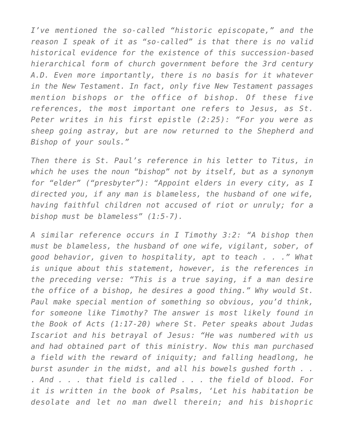*I've mentioned the so-called "historic episcopate," and the reason I speak of it as "so-called" is that there is no valid historical evidence for the existence of this succession-based hierarchical form of church government before the 3rd century A.D. Even more importantly, there is no basis for it whatever in the New Testament. In fact, only five New Testament passages mention bishops or the office of bishop. Of these five references, the most important one refers to Jesus, as St. Peter writes in his first epistle (2:25): "For you were as sheep going astray, but are now returned to the Shepherd and Bishop of your souls."*

*Then there is St. Paul's reference in his letter to Titus, in which he uses the noun "bishop" not by itself, but as a synonym for "elder" ("presbyter"): "Appoint elders in every city, as I directed you, if any man is blameless, the husband of one wife, having faithful children not accused of riot or unruly; for a bishop must be blameless" (1:5-7).*

*A similar reference occurs in I Timothy 3:2: "A bishop then must be blameless, the husband of one wife, vigilant, sober, of good behavior, given to hospitality, apt to teach . . ." What is unique about this statement, however, is the references in the preceding verse: "This is a true saying, if a man desire the office of a bishop, he desires a good thing." Why would St. Paul make special mention of something so obvious, you'd think, for someone like Timothy? The answer is most likely found in the Book of Acts (1:17-20) where St. Peter speaks about Judas Iscariot and his betrayal of Jesus: "He was numbered with us and had obtained part of this ministry. Now this man purchased a field with the reward of iniquity; and falling headlong, he burst asunder in the midst, and all his bowels gushed forth . . . And . . . that field is called . . . the field of blood. For it is written in the book of Psalms, 'Let his habitation be desolate and let no man dwell therein; and his bishopric*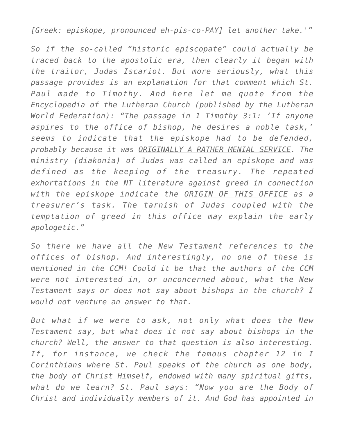*[Greek: episkope, pronounced eh-pis-co-PAY] let another take.'"*

*So if the so-called "historic episcopate" could actually be traced back to the apostolic era, then clearly it began with the traitor, Judas Iscariot. But more seriously, what this passage provides is an explanation for that comment which St. Paul made to Timothy. And here let me quote from the Encyclopedia of the Lutheran Church (published by the Lutheran World Federation): "The passage in 1 Timothy 3:1: 'If anyone aspires to the office of bishop, he desires a noble task,' seems to indicate that the episkope had to be defended, probably because it was ORIGINALLY A RATHER MENIAL SERVICE. The ministry (diakonia) of Judas was called an episkope and was defined as the keeping of the treasury. The repeated exhortations in the NT literature against greed in connection with the episkope indicate the ORIGIN OF THIS OFFICE as a treasurer's task. The tarnish of Judas coupled with the temptation of greed in this office may explain the early apologetic."*

*So there we have all the New Testament references to the offices of bishop. And interestingly, no one of these is mentioned in the CCM! Could it be that the authors of the CCM were not interested in, or unconcerned about, what the New Testament says–or does not say–about bishops in the church? I would not venture an answer to that.*

*But what if we were to ask, not only what does the New Testament say, but what does it not say about bishops in the church? Well, the answer to that question is also interesting. If, for instance, we check the famous chapter 12 in I Corinthians where St. Paul speaks of the church as one body, the body of Christ Himself, endowed with many spiritual gifts, what do we learn? St. Paul says: "Now you are the Body of Christ and individually members of it. And God has appointed in*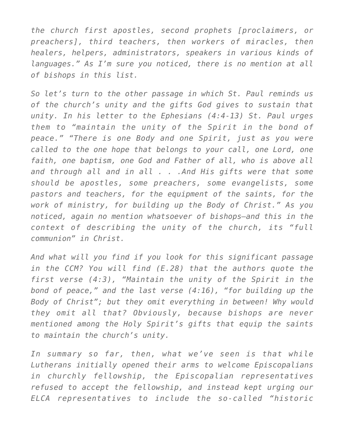*the church first apostles, second prophets [proclaimers, or preachers], third teachers, then workers of miracles, then healers, helpers, administrators, speakers in various kinds of languages." As I'm sure you noticed, there is no mention at all of bishops in this list.*

*So let's turn to the other passage in which St. Paul reminds us of the church's unity and the gifts God gives to sustain that unity. In his letter to the Ephesians (4:4-13) St. Paul urges them to "maintain the unity of the Spirit in the bond of peace." "There is one Body and one Spirit, just as you were called to the one hope that belongs to your call, one Lord, one faith, one baptism, one God and Father of all, who is above all and through all and in all . . .And His gifts were that some should be apostles, some preachers, some evangelists, some pastors and teachers, for the equipment of the saints, for the work of ministry, for building up the Body of Christ." As you noticed, again no mention whatsoever of bishops–and this in the context of describing the unity of the church, its "full communion" in Christ.*

*And what will you find if you look for this significant passage in the CCM? You will find (E.28) that the authors quote the first verse (4:3), "Maintain the unity of the Spirit in the bond of peace," and the last verse (4:16), "for building up the Body of Christ"; but they omit everything in between! Why would they omit all that? Obviously, because bishops are never mentioned among the Holy Spirit's gifts that equip the saints to maintain the church's unity.*

*In summary so far, then, what we've seen is that while Lutherans initially opened their arms to welcome Episcopalians in churchly fellowship, the Episcopalian representatives refused to accept the fellowship, and instead kept urging our ELCA representatives to include the so-called "historic*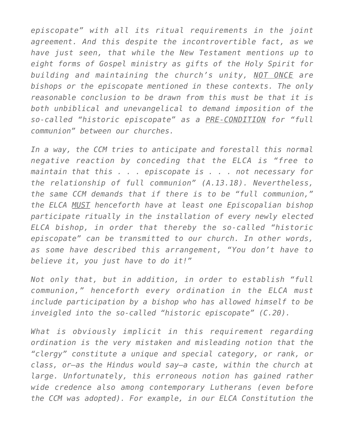*episcopate" with all its ritual requirements in the joint agreement. And this despite the incontrovertible fact, as we have just seen, that while the New Testament mentions up to eight forms of Gospel ministry as gifts of the Holy Spirit for building and maintaining the church's unity, NOT ONCE are bishops or the episcopate mentioned in these contexts. The only reasonable conclusion to be drawn from this must be that it is both unbiblical and unevangelical to demand imposition of the so-called "historic episcopate" as a PRE-CONDITION for "full communion" between our churches.*

*In a way, the CCM tries to anticipate and forestall this normal negative reaction by conceding that the ELCA is "free to maintain that this . . . episcopate is . . . not necessary for the relationship of full communion" (A.13.18). Nevertheless, the same CCM demands that if there is to be "full communion," the ELCA MUST henceforth have at least one Episcopalian bishop participate ritually in the installation of every newly elected ELCA bishop, in order that thereby the so-called "historic episcopate" can be transmitted to our church. In other words, as some have described this arrangement, "You don't have to believe it, you just have to do it!"*

*Not only that, but in addition, in order to establish "full communion," henceforth every ordination in the ELCA must include participation by a bishop who has allowed himself to be inveigled into the so-called "historic episcopate" (C.20).*

*What is obviously implicit in this requirement regarding ordination is the very mistaken and misleading notion that the "clergy" constitute a unique and special category, or rank, or class, or–as the Hindus would say–a caste, within the church at large. Unfortunately, this erroneous notion has gained rather wide credence also among contemporary Lutherans (even before the CCM was adopted). For example, in our ELCA Constitution the*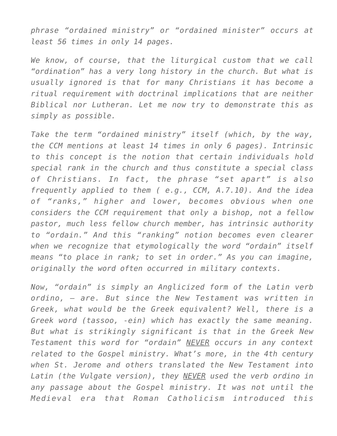*phrase "ordained ministry" or "ordained minister" occurs at least 56 times in only 14 pages.*

*We know, of course, that the liturgical custom that we call "ordination" has a very long history in the church. But what is usually ignored is that for many Christians it has become a ritual requirement with doctrinal implications that are neither Biblical nor Lutheran. Let me now try to demonstrate this as simply as possible.*

*Take the term "ordained ministry" itself (which, by the way, the CCM mentions at least 14 times in only 6 pages). Intrinsic to this concept is the notion that certain individuals hold special rank in the church and thus constitute a special class of Christians. In fact, the phrase "set apart" is also frequently applied to them ( e.g., CCM, A.7.10). And the idea of "ranks," higher and lower, becomes obvious when one considers the CCM requirement that only a bishop, not a fellow pastor, much less fellow church member, has intrinsic authority to "ordain." And this "ranking" notion becomes even clearer when we recognize that etymologically the word "ordain" itself means "to place in rank; to set in order." As you can imagine, originally the word often occurred in military contexts.*

*Now, "ordain" is simply an Anglicized form of the Latin verb ordino, – are. But since the New Testament was written in Greek, what would be the Greek equivalent? Well, there is a Greek word (tassoo, -ein) which has exactly the same meaning. But what is strikingly significant is that in the Greek New Testament this word for "ordain" NEVER occurs in any context related to the Gospel ministry. What's more, in the 4th century when St. Jerome and others translated the New Testament into Latin (the Vulgate version), they NEVER used the verb ordino in any passage about the Gospel ministry. It was not until the Medieval era that Roman Catholicism introduced this*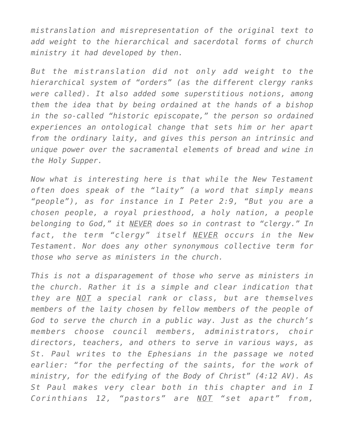*mistranslation and misrepresentation of the original text to add weight to the hierarchical and sacerdotal forms of church ministry it had developed by then.*

*But the mistranslation did not only add weight to the hierarchical system of "orders" (as the different clergy ranks were called). It also added some superstitious notions, among them the idea that by being ordained at the hands of a bishop in the so-called "historic episcopate," the person so ordained experiences an ontological change that sets him or her apart from the ordinary laity, and gives this person an intrinsic and unique power over the sacramental elements of bread and wine in the Holy Supper.*

*Now what is interesting here is that while the New Testament often does speak of the "laity" (a word that simply means "people"), as for instance in I Peter 2:9, "But you are a chosen people, a royal priesthood, a holy nation, a people belonging to God," it NEVER does so in contrast to "clergy." In fact, the term "clergy" itself NEVER occurs in the New Testament. Nor does any other synonymous collective term for those who serve as ministers in the church.*

*This is not a disparagement of those who serve as ministers in the church. Rather it is a simple and clear indication that they are NOT a special rank or class, but are themselves members of the laity chosen by fellow members of the people of God to serve the church in a public way. Just as the church's members choose council members, administrators, choir directors, teachers, and others to serve in various ways, as St. Paul writes to the Ephesians in the passage we noted earlier: "for the perfecting of the saints, for the work of ministry, for the edifying of the Body of Christ" (4:12 AV). As St Paul makes very clear both in this chapter and in I Corinthians 12, "pastors" are NOT "set apart" from,*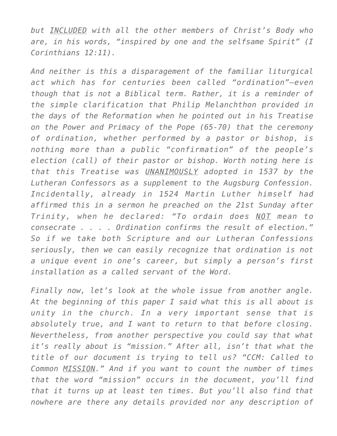*but INCLUDED with all the other members of Christ's Body who are, in his words, "inspired by one and the selfsame Spirit" (I Corinthians 12:11).*

*And neither is this a disparagement of the familiar liturgical act which has for centuries been called "ordination"–even though that is not a Biblical term. Rather, it is a reminder of the simple clarification that Philip Melanchthon provided in the days of the Reformation when he pointed out in his Treatise on the Power and Primacy of the Pope (65-70) that the ceremony of ordination, whether performed by a pastor or bishop, is nothing more than a public "confirmation" of the people's election (call) of their pastor or bishop. Worth noting here is that this Treatise was UNANIMOUSLY adopted in 1537 by the Lutheran Confessors as a supplement to the Augsburg Confession. Incidentally, already in 1524 Martin Luther himself had affirmed this in a sermon he preached on the 21st Sunday after Trinity, when he declared: "To ordain does NOT mean to consecrate . . . . Ordination confirms the result of election." So if we take both Scripture and our Lutheran Confessions seriously, then we can easily recognize that ordination is not a unique event in one's career, but simply a person's first installation as a called servant of the Word.*

*Finally now, let's look at the whole issue from another angle. At the beginning of this paper I said what this is all about is unity in the church. In a very important sense that is absolutely true, and I want to return to that before closing. Nevertheless, from another perspective you could say that what it's really about is "mission." After all, isn't that what the title of our document is trying to tell us? "CCM: Called to Common MISSION." And if you want to count the number of times that the word "mission" occurs in the document, you'll find that it turns up at least ten times. But you'll also find that nowhere are there any details provided nor any description of*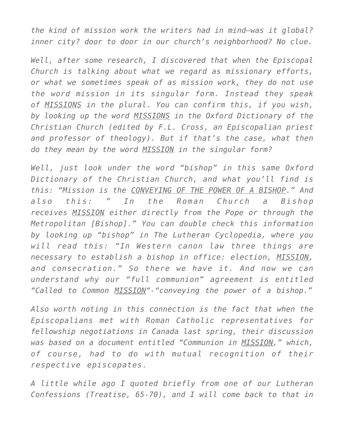*the kind of mission work the writers had in mind–was it global? inner city? door to door in our church's neighborhood? No clue.*

*Well, after some research, I discovered that when the Episcopal Church is talking about what we regard as missionary efforts, or what we sometimes speak of as mission work, they do not use the word mission in its singular form. Instead they speak of MISSIONS in the plural. You can confirm this, if you wish, by looking up the word MISSIONS in the Oxford Dictionary of the Christian Church (edited by F.L. Cross, an Episcopalian priest and professor of theology). But if that's the case, what then do they mean by the word MISSION in the singular form?*

*Well, just look under the word "bishop" in this same Oxford Dictionary of the Christian Church, and what you'll find is this: "Mission is the CONVEYING OF THE POWER OF A BISHOP." And also this: " In the Roman Church a Bishop receives MISSION either directly from the Pope or through the Metropolitan [Bishop]." You can double check this information by looking up "bishop" in The Lutheran Cyclopedia, where you will read this: "In Western canon law three things are necessary to establish a bishop in office: election, MISSION, and consecration." So there we have it. And now we can understand why our "full communion" agreement is entitled "Called to Common MISSION"-"conveying the power of a bishop."*

*Also worth noting in this connection is the fact that when the Episcopalians met with Roman Catholic representatives for fellowship negotiations in Canada last spring, their discussion was based on a document entitled "Communion in MISSION," which, of course, had to do with mutual recognition of their respective episcopates.*

*A little while ago I quoted briefly from one of our Lutheran Confessions (Treatise, 65-70), and I will come back to that in*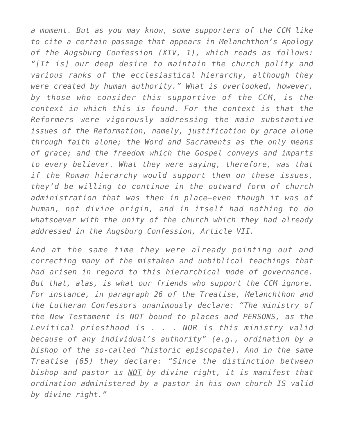*a moment. But as you may know, some supporters of the CCM like to cite a certain passage that appears in Melanchthon's Apology of the Augsburg Confession (XIV, 1), which reads as follows: "[It is] our deep desire to maintain the church polity and various ranks of the ecclesiastical hierarchy, although they were created by human authority." What is overlooked, however, by those who consider this supportive of the CCM, is the context in which this is found. For the context is that the Reformers were vigorously addressing the main substantive issues of the Reformation, namely, justification by grace alone through faith alone; the Word and Sacraments as the only means of grace; and the freedom which the Gospel conveys and imparts to every believer. What they were saying, therefore, was that if the Roman hierarchy would support them on these issues, they'd be willing to continue in the outward form of church administration that was then in place–even though it was of human, not divine origin, and in itself had nothing to do whatsoever with the unity of the church which they had already addressed in the Augsburg Confession, Article VII.*

*And at the same time they were already pointing out and correcting many of the mistaken and unbiblical teachings that had arisen in regard to this hierarchical mode of governance. But that, alas, is what our friends who support the CCM ignore. For instance, in paragraph 26 of the Treatise, Melanchthon and the Lutheran Confessors unanimously declare: "The ministry of the New Testament is NOT bound to places and PERSONS, as the Levitical priesthood is . . . NOR is this ministry valid because of any individual's authority" (e.g., ordination by a bishop of the so-called "historic episcopate). And in the same Treatise (65) they declare: "Since the distinction between bishop and pastor is NOT by divine right, it is manifest that ordination administered by a pastor in his own church IS valid by divine right."*